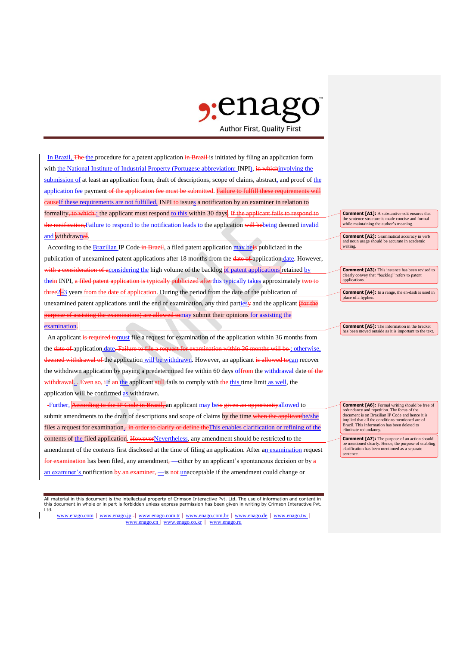## $\gamma$ enas **Author First, Quality First**

In Brazil, The the procedure for a patent application in Brazil is initiated by filing an application form with the National Institute of Industrial Property (Portugese abbreviation: INPI), in whichinvolving the submission of at least an application form, draft of descriptions, scope of claims, abstract, and proof of the application fee payment of the application fee must be submitted. Failure to fulfill these requirent **cause**If these requirements are not fulfilled, INPI to issues a notification by an examiner in relation to formality, to which ; the applicant must respond to this within 30 days. If the applicant fails to respond to the notification, Failure to respond to the notification leads to the application will bebeing deemed invalid and withdrawnal

According to the **Brazilian IP Code-in Brazil**, a filed patent application may beis publicized in the publication of unexamined patent applications after 18 months from the **date of application date**. However, a consideration of aconsidering the high volume of the backlog of patent applications retained by thein INPI, a filed patent application is typically publicized after this typically takes approximately two to three2<sup>1</sup>/<sub>3</sub> years from the date of application. During the period from the date of the publication of unexamined patent applications until the end of examination, any third parties and the applicant (for the amination) are allowed tomay submit their opinions for assisting the examination.

An applicant is required tomust file a request for examination of the application within 36 months from the date of application date. Failure to file a request for examination within 36 months will be ; otherwise, deemed withdrawal of the application will be withdrawn. However, an applicant is allowed to can recover the withdrawn application by paying a predetermined fee within 60 days of from the withdrawal date of the withdrawal. . Even so, iIf an the applicant still fails to comply with the this time limit as well, the application will be confirmed as withdrawn.

Further, According to the IP Code in Brazil, an applicant may be is given an opportunityallowed to submit amendments to the draft of descriptions and scope of claims by the time when the applicanthe/she files a request for examination., in order to clarify or define the This enables clarification or refining of the contents of the filed application. HoweverNevertheless, any amendment should be restricted to the amendment of the contents first disclosed at the time of filing an application. After an examination request  $\frac{1}{\text{mination}}$  has been filed, any amendment,—either by an applicant's spontaneous decision or by  $\frac{1}{\text{min}}$ an examiner's notification by an examiner, is not unacceptable if the amendment could change or

All material in this document is the intellectual property of Crimson Interactive Pvt. Ltd. The use of information and content in this document in whole or in part is forbidden unless express permission has been given in writing by Crimson Interactive Pvt. Ltd.

www.enago.com | www.enago.jp - | www.enago.com.tr | www.enago.com.br | www.enago.de | www.enago.tw | www.enago.cn | www.enago.co.kr | www.enago.ru

**Comment [A1]:** A substantive edit ensures that the sentence structure is made concise and formal while maintaining the author's meaning.

**Comment [A2]:** Grammatical accuracy in verb and noun usage should be accurate in academic writing.

**Comment [A3]:** This instance has been revised to clearly convey that "backlog" refers to patent applications.

**Comment [A4]:** In a range, the en-dash is used in place of a hyphen

**Comment [A5]:** The information in the bracket **has been moved on the bracket** utside as it is important to the text.

**Comment [A6]:** Formal writing should be free of redundancy and repetition. The focus of the document is on Brazilian IP Code and hence it is implied that all the conditions mentioned are of Brazil. This information has been deleted to eliminate redundancy.

**Comment [A7]:** The purpose of an action should be mentioned clearly. Hence, the purpose of ena clarification has been mentioned as a separate sentence.